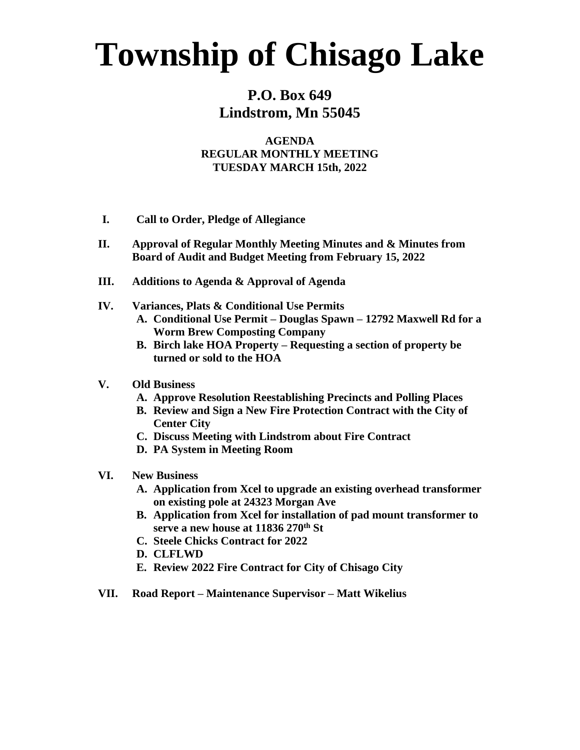## **Township of Chisago Lake**

### **P.O. Box 649 Lindstrom, Mn 55045**

#### **AGENDA REGULAR MONTHLY MEETING TUESDAY MARCH 15th, 2022**

- **I. Call to Order, Pledge of Allegiance**
- **II. Approval of Regular Monthly Meeting Minutes and & Minutes from Board of Audit and Budget Meeting from February 15, 2022**
- **III. Additions to Agenda & Approval of Agenda**
- **IV. Variances, Plats & Conditional Use Permits**
	- **A. Conditional Use Permit – Douglas Spawn – 12792 Maxwell Rd for a Worm Brew Composting Company**
	- **B. Birch lake HOA Property – Requesting a section of property be turned or sold to the HOA**

#### **V. Old Business**

- **A. Approve Resolution Reestablishing Precincts and Polling Places**
- **B. Review and Sign a New Fire Protection Contract with the City of Center City**
- **C. Discuss Meeting with Lindstrom about Fire Contract**
- **D. PA System in Meeting Room**
- **VI. New Business**
	- **A. Application from Xcel to upgrade an existing overhead transformer on existing pole at 24323 Morgan Ave**
	- **B. Application from Xcel for installation of pad mount transformer to serve a new house at 11836 270th St**
	- **C. Steele Chicks Contract for 2022**
	- **D. CLFLWD**
	- **E. Review 2022 Fire Contract for City of Chisago City**
- **VII. Road Report – Maintenance Supervisor – Matt Wikelius**